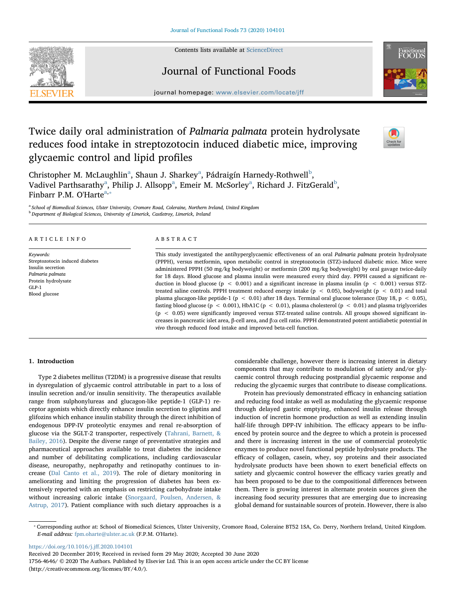Contents lists available at [ScienceDirect](http://www.sciencedirect.com/science/journal/17564646)



# Journal of Functional Foods



journal homepage: [www.elsevier.com/locate/jff](https://www.elsevier.com/locate/jff)f/

# Twice daily oral administration of Palmaria palmata protein hydrolysate reduces food intake in streptozotocin induced diabetic mice, improving glycaemic control and lipid profiles



Christopher M. McL[a](#page-0-0)ughlin<sup>a</sup>, Shaun J. Sharkey<sup>a</sup>, Pádraigín Harnedy-Rothwell<sup>[b](#page-0-1)</sup>, V[a](#page-0-0)divel Parthsarathy $^{\rm a}$ , Philip J. Allsopp $^{\rm a}$ , Emeir M. McSorley $^{\rm a}$ , Richard J. FitzGerald $^{\rm b}$  $^{\rm b}$  $^{\rm b}$ , Finbarr P.M. O'Harte $a,*$  $a,*$ 

<span id="page-0-1"></span><span id="page-0-0"></span><sup>a</sup> School of Biomedical Sciences, Ulster University, Cromore Road, Coleraine, Northern Ireland, United Kingdom <sup>b</sup> Department of Biological Sciences, University of Limerick, Castletroy, Limerick, Ireland

#### ARTICLE INFO

Keywords: Streptozotocin induced diabetes Insulin secretion Palmaria palmata Protein hydrolysate GLP-1 Blood glucose

## ABSTRACT

This study investigated the antihyperglycaemic effectiveness of an oral Palmaria palmata protein hydrolysate (PPPH), versus metformin, upon metabolic control in streptozotocin (STZ)-induced diabetic mice. Mice were administered PPPH (50 mg/kg bodyweight) or metformin (200 mg/kg bodyweight) by oral gavage twice-daily for 18 days. Blood glucose and plasma insulin were measured every third day. PPPH caused a significant reduction in blood glucose ( $p < 0.001$ ) and a significant increase in plasma insulin ( $p < 0.001$ ) versus STZtreated saline controls. PPPH treatment reduced energy intake ( $p < 0.05$ ), bodyweight ( $p < 0.01$ ) and total plasma glucagon-like peptide-1 (p < 0.01) after 18 days. Terminal oral glucose tolerance (Day 18, p < 0.05), fasting blood glucose ( $p < 0.001$ ), HbA1C ( $p < 0.01$ ), plasma cholesterol ( $p < 0.01$ ) and plasma triglycerides (p < 0.05) were significantly improved versus STZ-treated saline controls. All groups showed significant increases in pancreatic islet area, β-cell area, and β:α cell ratio. PPPH demonstrated potent antidiabetic potential in vivo through reduced food intake and improved beta-cell function.

# 1. Introduction

Type 2 diabetes mellitus (T2DM) is a progressive disease that results in dysregulation of glycaemic control attributable in part to a loss of insulin secretion and/or insulin sensitivity. The therapeutics available range from sulphonylureas and glucagon-like peptide-1 (GLP-1) receptor agonists which directly enhance insulin secretion to gliptins and glifozins which enhance insulin stability through the direct inhibition of endogenous DPP-IV proteolytic enzymes and renal re-absorption of glucose via the SGLT-2 transporter, respectively [\(Tahrani, Barnett, &](#page-7-0) [Bailey, 2016](#page-7-0)). Despite the diverse range of preventative strategies and pharmaceutical approaches available to treat diabetes the incidence and number of debilitating complications, including cardiovascular disease, neuropathy, nephropathy and retinopathy continues to increase ([Dal Canto et al., 2019](#page-7-1)). The role of dietary monitoring in ameliorating and limiting the progression of diabetes has been extensively reported with an emphasis on restricting carbohydrate intake without increasing caloric intake ([Snorgaard, Poulsen, Andersen, &](#page-7-2) [Astrup, 2017\)](#page-7-2). Patient compliance with such dietary approaches is a considerable challenge, however there is increasing interest in dietary components that may contribute to modulation of satiety and/or glycaemic control through reducing postprandial glycaemic response and reducing the glycaemic surges that contribute to disease complications.

Protein has previously demonstrated efficacy in enhancing satiation and reducing food intake as well as modulating the glycaemic response through delayed gastric emptying, enhanced insulin release through induction of incretin hormone production as well as extending insulin half-life through DPP-IV inhibition. The efficacy appears to be influenced by protein source and the degree to which a protein is processed and there is increasing interest in the use of commercial proteolytic enzymes to produce novel functional peptide hydrolysate products. The efficacy of collagen, casein, whey, soy proteins and their associated hydrolysate products have been shown to exert beneficial effects on satiety and glycaemic control however the efficacy varies greatly and has been proposed to be due to the compositional differences between them. There is growing interest in alternate protein sources given the increasing food security pressures that are emerging due to increasing global demand for sustainable sources of protein. However, there is also

[https://doi.org/10.1016/j.j](https://doi.org/10.1016/j.jff.2020.104101)ff.2020.104101

Received 20 December 2019; Received in revised form 29 May 2020; Accepted 30 June 2020

<span id="page-0-2"></span><sup>⁎</sup> Corresponding author at: School of Biomedical Sciences, Ulster University, Cromore Road, Coleraine BT52 1SA, Co. Derry, Northern Ireland, United Kingdom. E-mail address: [fpm.oharte@ulster.ac.uk](mailto:fpm.oharte@ulster.ac.uk) (F.P.M. O'Harte).

<sup>1756-4646/ © 2020</sup> The Authors. Published by Elsevier Ltd. This is an open access article under the CC BY license (http://creativecommons.org/licenses/BY/4.0/).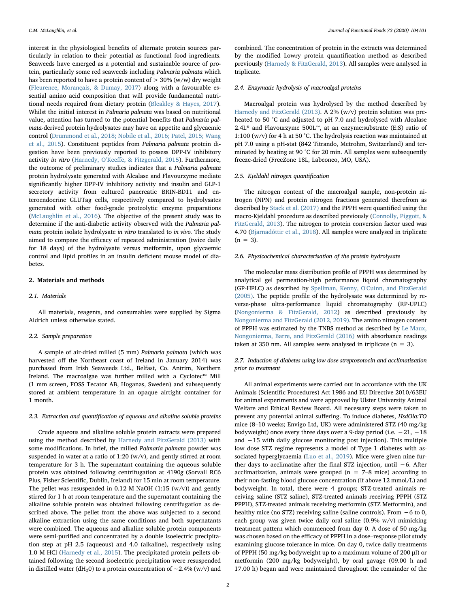interest in the physiological benefits of alternate protein sources particularly in relation to their potential as functional food ingredients. Seaweeds have emerged as a potential and sustainable source of protein, particularly some red seaweeds including Palmaria palmata which has been reported to have a protein content of  $> 30\%$  (w/w) dry weight ([Fleurence, Morançais, & Dumay, 2017\)](#page-7-3) along with a favourable essential amino acid composition that will provide fundamental nutritional needs required from dietary protein [\(Bleakley & Hayes, 2017](#page-7-4)). Whilst the initial interest in Palmaria palmata was based on nutritional value, attention has turned to the potential benefits that Palmaria palmata-derived protein hydrolysates may have on appetite and glycaemic control ([Drummond et al., 2018; Nobile et al., 2016; Patel, 2015; Wang](#page-7-5) [et al., 2015\)](#page-7-5). Constituent peptides from Palmaria palmata protein digestion have been previously reported to possess DPP-IV inhibitory activity in vitro (Harnedy, O'Keeff[e, & Fitzgerald, 2015\)](#page-7-6). Furthermore, the outcome of preliminary studies indicates that a Palmaria palmata protein hydrolysate generated with Alcalase and Flavourzyme mediate significantly higher DPP-IV inhibitory activity and insulin and GLP-1 secretory activity from cultured pancreatic BRIN-BD11 and enteroendocrine GLUTag cells, respectively compared to hydrolysates generated with other food-grade proteolytic enzyme preparations ([McLaughlin et al., 2016\)](#page-7-7). The objective of the present study was to determine if the anti-diabetic activity observed with the Palmaria palmata protein isolate hydrolysate in vitro translated to in vivo. The study aimed to compare the efficacy of repeated administration (twice daily for 18 days) of the hydrolysate versus metformin, upon glycaemic control and lipid profiles in an insulin deficient mouse model of diabetes.

# 2. Materials and methods

## 2.1. Materials

All materials, reagents, and consumables were supplied by Sigma Aldrich unless otherwise stated.

## 2.2. Sample preparation

A sample of air-dried milled (5 mm) Palmaria palmata (which was harvested off the Northeast coast of Ireland in January 2014) was purchased from Irish Seaweeds Ltd., Belfast, Co. Antrim, Northern Ireland. The macroalgae was further milled with a Cyclotec™ Mill (1 mm screen, FOSS Tecator AB, Hoganas, Sweden) and subsequently stored at ambient temperature in an opaque airtight container for 1 month.

#### 2.3. Extraction and quantification of aqueous and alkaline soluble proteins

Crude aqueous and alkaline soluble protein extracts were prepared using the method described by [Harnedy and FitzGerald \(2013\)](#page-7-8) with some modifications. In brief, the milled Palmaria palmata powder was suspended in water at a ratio of 1:20 (w/v), and gently stirred at room temperature for 3 h. The supernatant containing the aqueous soluble protein was obtained following centrifugation at 4190g (Sorvall RC6 Plus, Fisher Scientific, Dublin, Ireland) for 15 min at room temperature. The pellet was resuspended in 0.12 M NaOH  $(1:15 (w/v))$  and gently stirred for 1 h at room temperature and the supernatant containing the alkaline soluble protein was obtained following centrifugation as described above. The pellet from the above was subjected to a second alkaline extraction using the same conditions and both supernatants were combined. The aqueous and alkaline soluble protein components were semi-purified and concentrated by a double isoelectric precipitation step at pH 2.5 (aqueous) and 4.0 (alkaline), respectively using 1.0 M HCl [\(Harnedy et al., 2015](#page-7-6)). The precipitated protein pellets obtained following the second isoelectric precipitation were resuspended in distilled water (dH<sub>2</sub>0) to a protein concentration of  $\sim$ 2.4% (w/v) and

combined. The concentration of protein in the extracts was determined by the modified Lowry protein quantification method as described previously ([Harnedy & FitzGerald, 2013](#page-7-8)). All samples were analysed in triplicate.

#### 2.4. Enzymatic hydrolysis of macroalgal proteins

Macroalgal protein was hydrolysed by the method described by [Harnedy and FitzGerald \(2013\)](#page-7-8). A 2% (w/v) protein solution was preheated to 50 °C and adjusted to pH 7.0 and hydrolysed with Alcalase 2.4L<sup>®</sup> and Flavourzyme 500L™, at an enzyme:substrate (E:S) ratio of 1:100 (w/v) for 4 h at 50 °C. The hydrolysis reaction was maintained at pH 7.0 using a pH-stat (842 Titrando, Metrohm, Switzerland) and terminated by heating at 90 °C for 20 min. All samples were subsequently freeze-dried (FreeZone 18L, Labconco, MO, USA).

# <span id="page-1-0"></span>2.5. Kjeldahl nitrogen quantification

The nitrogen content of the macroalgal sample, non-protein nitrogen (NPN) and protein nitrogen fractions generated therefrom as described by [Stack et al. \(2017\)](#page-7-9) and the PPPH were quantified using the macro-Kjeldahl procedure as described previously ([Connolly, Piggott, &](#page-7-10) [FitzGerald, 2013](#page-7-10)). The nitrogen to protein conversion factor used was 4.70 ([Bjarnadóttir et al., 2018](#page-7-11)). All samples were analysed in triplicate  $(n = 3)$ .

#### 2.6. Physicochemical characterisation of the protein hydrolysate

The molecular mass distribution profile of PPPH was determined by analytical gel permeation-high performance liquid chromatography (GP-HPLC) as described by [Spellman, Kenny, O'Cuinn, and FitzGerald](#page-7-12) [\(2005\).](#page-7-12) The peptide profile of the hydrolysate was determined by reverse-phase ultra-performance liquid chromatography (RP-UPLC) ([Nongonierma & FitzGerald, 2012\)](#page-7-13) as described previously by [Nongonierma and FitzGerald \(2012, 2019\)](#page-7-13). The amino nitrogen content of PPPH was estimated by the TNBS method as described by [Le Maux,](#page-7-14) [Nongonierma, Barre, and FitzGerald \(2016\)](#page-7-14) with absorbance readings taken at 350 nm. All samples were analysed in triplicate  $(n = 3)$ .

# 2.7. Induction of diabetes using low dose streptozotocin and acclimatization prior to treatment

All animal experiments were carried out in accordance with the UK Animals (Scientific Procedures) Act 1986 and EU Directive 2010/63EU for animal experiments and were approved by Ulster University Animal Welfare and Ethical Review Board. All necessary steps were taken to prevent any potential animal suffering. To induce diabetes, HsdOla:TO mice (8–10 weeks; Envigo Ltd, UK) were administered STZ (40 mg/kg bodyweight) once every three days over a 9-day period (i.e. −21, −18 and −15 with daily glucose monitoring post injection). This multiple low dose STZ regime represents a model of Type 1 diabetes with associated hyperglycaemia ([Luo et al., 2019\)](#page-7-15). Mice were given nine further days to acclimatize after the final STZ injection, until −6. After acclimatization, animals were grouped ( $n = 7-8$  mice) according to their non-fasting blood glucose concentration (if above 12 mmol/L) and bodyweight. In total, there were 4 groups; STZ-treated animals receiving saline (STZ saline), STZ-treated animals receiving PPPH (STZ PPPH), STZ-treated animals receiving metformin (STZ Metformin), and healthy mice (no STZ) receiving saline (saline controls). From −6 to 0, each group was given twice daily oral saline (0.9% w/v) mimicking treatment pattern which commenced from day 0. A dose of 50 mg/kg was chosen based on the efficacy of PPPH in a dose–response pilot study examining glucose tolerance in mice. On day 0, twice daily treatments of PPPH (50 mg/kg bodyweight up to a maximum volume of 200 μl) or metformin (200 mg/kg bodyweight), by oral gavage (09.00 h and 17.00 h) began and were maintained throughout the remainder of the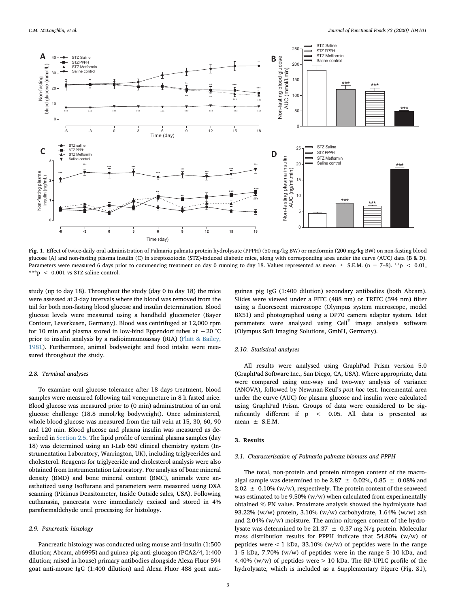<span id="page-2-0"></span>

Fig. 1. Effect of twice-daily oral administration of Palmaria palmata protein hydrolysate (PPPH) (50 mg/kg BW) or metformin (200 mg/kg BW) on non-fasting blood glucose (A) and non-fasting plasma insulin (C) in streptozotocin (STZ)-induced diabetic mice, along with corresponding area under the curve (AUC) data (B & D). Parameters were measured 6 days prior to commencing treatment on day 0 running to day 18. Values represented as mean  $\pm$  S.E.M. (n = 7–8). \*\*p < 0.01, \*\*\*p < 0.001 vs STZ saline control.

study (up to day 18). Throughout the study (day 0 to day 18) the mice were assessed at 3-day intervals where the blood was removed from the tail for both non-fasting blood glucose and insulin determination. Blood glucose levels were measured using a handheld glucometer (Bayer Contour, Leverkusen, Germany). Blood was centrifuged at 12,000 rpm for 10 min and plasma stored in low-bind Eppendorf tubes at −20 °C prior to insulin analysis by a radioimmunoassay (RIA) [\(Flatt & Bailey,](#page-7-16) [1981\)](#page-7-16). Furthermore, animal bodyweight and food intake were measured throughout the study.

#### 2.8. Terminal analyses

To examine oral glucose tolerance after 18 days treatment, blood samples were measured following tail venepuncture in 8 h fasted mice. Blood glucose was measured prior to (0 min) administration of an oral glucose challenge (18.8 mmol/kg bodyweight). Once administered, whole blood glucose was measured from the tail vein at 15, 30, 60, 90 and 120 min. Blood glucose and plasma insulin was measured as described in [Section 2.5.](#page-1-0) The lipid profile of terminal plasma samples (day 18) was determined using an I-Lab 650 clinical chemistry system (Instrumentation Laboratory, Warrington, UK), including triglycerides and cholesterol. Reagents for triglyceride and cholesterol analysis were also obtained from Instrumentation Laboratory. For analysis of bone mineral density (BMD) and bone mineral content (BMC), animals were anesthetized using Isoflurane and parameters were measured using DXA scanning (Piximus Densitometer, Inside Outside sales, USA). Following euthanasia, pancreata were immediately excised and stored in 4% paraformaldehyde until processing for histology.

#### 2.9. Pancreatic histology

Pancreatic histology was conducted using mouse anti-insulin (1:500 dilution; Abcam, ab6995) and guinea-pig anti-glucagon (PCA2/4, 1:400 dilution; raised in-house) primary antibodies alongside Alexa Fluor 594 goat anti-mouse IgG (1:400 dilution) and Alexa Fluor 488 goat anti-

guinea pig IgG (1:400 dilution) secondary antibodies (both Abcam). Slides were viewed under a FITC (488 nm) or TRITC (594 nm) filter using a fluorescent microscope (Olympus system microscope, model BX51) and photographed using a DP70 camera adapter system. Islet parameters were analysed using  $Cell<sup>F</sup>$  image analysis software (Olympus Soft Imaging Solutions, GmbH, Germany).

#### 2.10. Statistical analyses

All results were analysed using GraphPad Prism version 5.0 (GraphPad Software Inc., San Diego, CA, USA). Where appropriate, data were compared using one-way and two-way analysis of variance (ANOVA), followed by Newman-Keul's post hoc test. Incremental area under the curve (AUC) for plasma glucose and insulin were calculated using GraphPad Prism. Groups of data were considered to be significantly different if p < 0.05. All data is presented as mean  $\pm$  S.E.M.

#### 3. Results

## 3.1. Characterisation of Palmaria palmata biomass and PPPH

The total, non-protein and protein nitrogen content of the macroalgal sample was determined to be 2.87  $\pm$  0.02%, 0.85  $\pm$  0.08% and  $2.02 \pm 0.10\%$  (w/w), respectively. The protein content of the seaweed was estimated to be 9.50% (w/w) when calculated from experimentally obtained % PN value. Proximate analysis showed the hydrolysate had 93.22% (w/w) protein, 3.10% (w/w) carbohydrate, 1.64% (w/w) ash and 2.04% (w/w) moisture. The amino nitrogen content of the hydrolysate was determined to be 21.37  $\pm$  0.37 mg N/g protein. Molecular mass distribution results for PPPH indicate that 54.80% (w/w) of peptides were  $\lt 1$  kDa, 33.10% (w/w) of peptides were in the range 1–5 kDa, 7.70% (w/w) of peptides were in the range 5–10 kDa, and 4.40% (w/w) of peptides were > 10 kDa. The RP-UPLC profile of the hydrolysate, which is included as a Supplementary Figure (Fig. S1),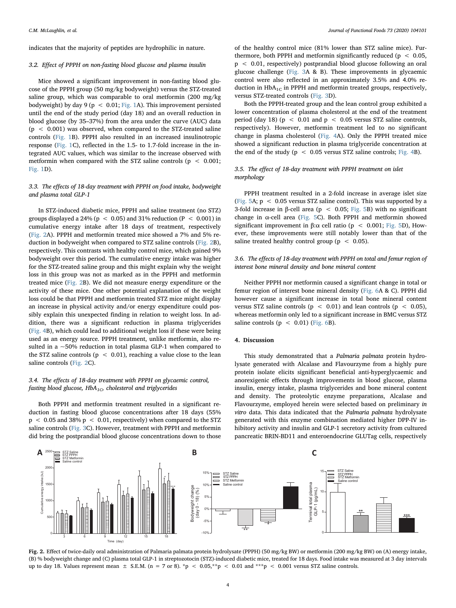indicates that the majority of peptides are hydrophilic in nature.

## 3.2. Effect of PPPH on non-fasting blood glucose and plasma insulin

Mice showed a significant improvement in non-fasting blood glucose of the PPPH group (50 mg/kg bodyweight) versus the STZ-treated saline group, which was comparable to oral metformin (200 mg/kg bodyweight) by day 9 ( $p < 0.01$ ; [Fig. 1A](#page-2-0)). This improvement persisted until the end of the study period (day 18) and an overall reduction in blood glucose (by 35–37%) from the area under the curve (AUC) data  $(p < 0.001)$  was observed, when compared to the STZ-treated saline controls [\(Fig. 1B](#page-2-0)). PPPH also resulted in an increased insulinotropic response [\(Fig. 1C](#page-2-0)), reflected in the 1.5- to 1.7-fold increase in the integrated AUC values, which was similar to the increase observed with metformin when compared with the STZ saline controls ( $p < 0.001$ ; [Fig. 1D](#page-2-0)).

# 3.3. The effects of 18-day treatment with PPPH on food intake, bodyweight and plasma total GLP-1

In STZ-induced diabetic mice, PPPH and saline treatment (no STZ) groups displayed a 24% ( $p < 0.05$ ) and 31% reduction ( $P < 0.001$ ) in cumulative energy intake after 18 days of treatment, respectively ([Fig. 2A](#page-3-0)). PPPH and metformin treated mice showed a 7% and 5% reduction in bodyweight when compared to STZ saline controls ([Fig. 2B](#page-3-0)), respectively. This contrasts with healthy control mice, which gained 9% bodyweight over this period. The cumulative energy intake was higher for the STZ-treated saline group and this might explain why the weight loss in this group was not as marked as in the PPPH and metformin treated mice ([Fig. 2](#page-3-0)B). We did not measure energy expenditure or the activity of these mice. One other potential explanation of the weight loss could be that PPPH and metformin treated STZ mice might display an increase in physical activity and/or energy expenditure could possibly explain this unexpected finding in relation to weight loss. In addition, there was a significant reduction in plasma triglycerides ([Fig. 4](#page-4-0)B), which could lead to additional weight loss if these were being used as an energy source. PPPH treatment, unlike metformin, also resulted in a ~50% reduction in total plasma GLP-1 when compared to the STZ saline controls ( $p < 0.01$ ), reaching a value close to the lean saline controls ([Fig. 2C](#page-3-0)).

# 3.4. The effects of 18-day treatment with PPPH on glycaemic control, fasting blood glucose,  $HbA_{1C}$ , cholesterol and triglycerides

Both PPPH and metformin treatment resulted in a significant reduction in fasting blood glucose concentrations after 18 days (55%  $p$  < 0.05 and 38%  $p$  < 0.01, respectively) when compared to the STZ saline controls [\(Fig. 3C](#page-4-1)). However, treatment with PPPH and metformin did bring the postprandial blood glucose concentrations down to those

of the healthy control mice (81% lower than STZ saline mice). Furthermore, both PPPH and metformin significantly reduced ( $p < 0.05$ , p < 0.01, respectively) postprandial blood glucose following an oral glucose challenge ([Fig. 3](#page-4-1)A & B). These improvements in glycaemic control were also reflected in an approximately 3.5% and 4.0% reduction in  $HbA_{1C}$  in PPPH and metformin treated groups, respectively, versus STZ-treated controls ([Fig. 3](#page-4-1)D).

Both the PPPH-treated group and the lean control group exhibited a lower concentration of plasma cholesterol at the end of the treatment period (day 18) ( $p < 0.01$  and  $p < 0.05$  versus STZ saline controls, respectively). However, metformin treatment led to no significant change in plasma cholesterol ([Fig. 4A](#page-4-0)). Only the PPPH treated mice showed a significant reduction in plasma triglyceride concentration at the end of the study ( $p < 0.05$  versus STZ saline controls; [Fig. 4B](#page-4-0)).

# 3.5. The effect of 18-day treatment with PPPH treatment on islet morphology

PPPH treatment resulted in a 2-fold increase in average islet size ([Fig. 5](#page-5-0)A;  $p < 0.05$  versus STZ saline control). This was supported by a 3-fold increase in β-cell area ( $p < 0.05$ ; [Fig. 5](#page-5-0)B) with no significant change in α-cell area ([Fig. 5](#page-5-0)C). Both PPPH and metformin showed significant improvement in β:α cell ratio (p < 0.001; [Fig. 5](#page-5-0)D), However, these improvements were still notably lower than that of the saline treated healthy control group ( $p < 0.05$ ).

# 3.6. The effects of 18-day treatment with PPPH on total and femur region of interest bone mineral density and bone mineral content

Neither PPPH nor metformin caused a significant change in total or femur region of interest bone mineral density ([Fig. 6A](#page-5-1) & C). PPPH did however cause a significant increase in total bone mineral content versus STZ saline controls ( $p < 0.01$ ) and lean controls ( $p < 0.05$ ), whereas metformin only led to a significant increase in BMC versus STZ saline controls ( $p < 0.01$ ) ([Fig. 6](#page-5-1)B).

# 4. Discussion

This study demonstrated that a Palmaria palmata protein hydrolysate generated with Alcalase and Flavourzyme from a highly pure protein isolate elicits significant beneficial anti-hyperglycaemic and anorexigenic effects through improvements in blood glucose, plasma insulin, energy intake, plasma triglycerides and bone mineral content and density. The proteolytic enzyme preparations, Alcalase and Flavourzyme, employed herein were selected based on preliminary in vitro data. This data indicated that the Palmaria palmata hydrolysate generated with this enzyme combination mediated higher DPP-IV inhibitory activity and insulin and GLP-1 secretory activity from cultured pancreatic BRIN-BD11 and enteroendocrine GLUTag cells, respectively

<span id="page-3-0"></span>

Fig. 2. Effect of twice-daily oral administration of Palmaria palmata protein hydrolysate (PPPH) (50 mg/kg BW) or metformin (200 mg/kg BW) on (A) energy intake, (B) % bodyweight change and (C) plasma total GLP-1 in streptozotocin (STZ)-induced diabetic mice, treated for 18 days. Food intake was measured at 3 day intervals up to day 18. Values represent mean  $\pm$  S.E.M. (n = 7 or 8). \*p < 0.05,\*\*p < 0.01 and \*\*\*p < 0.001 versus STZ saline controls.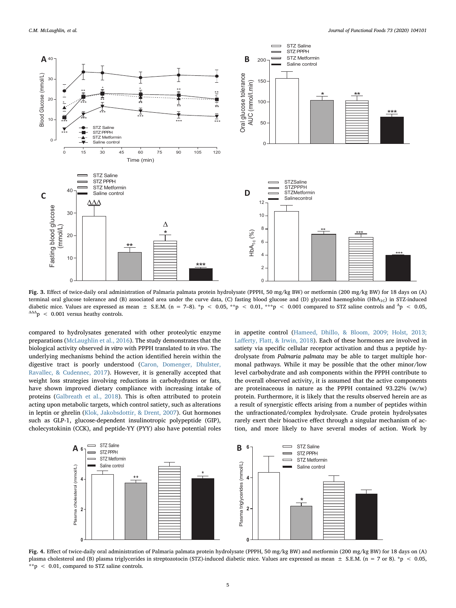<span id="page-4-1"></span>

Fig. 3. Effect of twice-daily oral administration of Palmaria palmata protein hydrolysate (PPPH, 50 mg/kg BW) or metformin (200 mg/kg BW) for 18 days on (A) terminal oral glucose tolerance and (B) associated area under the curve data, (C) fasting blood glucose and (D) glycated haemoglobin (HbA<sub>1C</sub>) in STZ-induced diabetic mice. Values are expressed as mean  $\pm$  S.E.M. (n = 7–8). \*p < 0.05, \*\*p < 0.01, \*\*p < 0.001 compared to STZ saline controls and  $^{\Delta}p$  < 0.05,  $\Delta \Delta \Delta$   $p \sim 0.001$  versus heathy controls.

compared to hydrolysates generated with other proteolytic enzyme preparations ([McLaughlin et al., 2016\)](#page-7-7). The study demonstrates that the biological activity observed in vitro with PPPH translated to in vivo. The underlying mechanisms behind the action identified herein within the digestive tract is poorly understood ([Caron, Domenger, Dhulster,](#page-7-17) [Ravallec, & Cudennec, 2017](#page-7-17)). However, it is generally accepted that weight loss strategies involving reductions in carbohydrates or fats, have shown improved dietary compliance with increasing intake of proteins [\(Galbreath et al., 2018\)](#page-7-18). This is often attributed to protein acting upon metabolic targets, which control satiety, such as alterations in leptin or ghrelin ([Klok, Jakobsdottir, & Drent, 2007\)](#page-7-19). Gut hormones such as GLP-1, glucose-dependent insulinotropic polypeptide (GIP), cholecystokinin (CCK), and peptide-YY (PYY) also have potential roles in appetite control ([Hameed, Dhillo, & Bloom, 2009; Holst, 2013;](#page-7-20) Laff[erty, Flatt, & Irwin, 2018](#page-7-20)). Each of these hormones are involved in satiety via specific cellular receptor activation and thus a peptide hydrolysate from Palmaria palmata may be able to target multiple hormonal pathways. While it may be possible that the other minor/low level carbohydrate and ash components within the PPPH contribute to the overall observed activity, it is assumed that the active components are proteinaceous in nature as the PPPH contained 93.22% (w/w) protein. Furthermore, it is likely that the results observed herein are as a result of synergistic effects arising from a number of peptides within the unfractionated/complex hydrolysate. Crude protein hydrolysates rarely exert their bioactive effect through a singular mechanism of action, and more likely to have several modes of action. Work by

<span id="page-4-0"></span>

Fig. 4. Effect of twice-daily oral administration of Palmaria palmata protein hydrolysate (PPPH, 50 mg/kg BW) and metformin (200 mg/kg BW) for 18 days on (A) plasma cholesterol and (B) plasma triglycerides in streptozotocin (STZ)-induced diabetic mice. Values are expressed as mean  $\pm$  S.E.M. (n = 7 or 8). \*p < 0.05, \*\*p < 0.01, compared to STZ saline controls.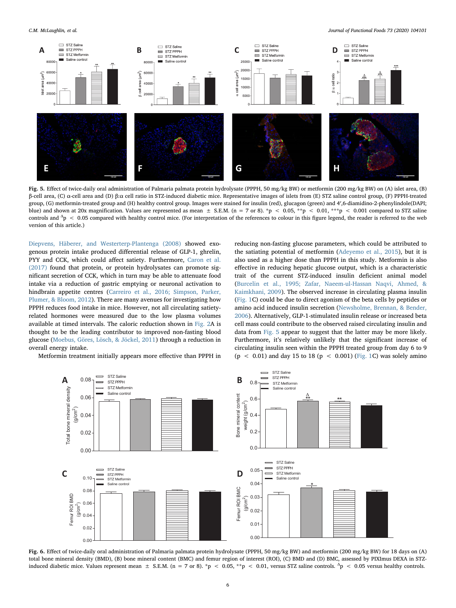C.M. McLaughlin, et al. *Journal of Functional Foods 73 (2020) 104101*

<span id="page-5-0"></span>

Fig. 5. Effect of twice-daily oral administration of Palmaria palmata protein hydrolysate (PPPH, 50 mg/kg BW) or metformin (200 mg/kg BW) on (A) islet area, (B) β-cell area, (C) α-cell area and (D) β:α cell ratio in STZ-induced diabetic mice. Representative images of islets from (E) STZ saline control group, (F) PPPH-treated group, (G) metformin-treated group and (H) healthy control group. Images were stained for insulin (red), glucagon (green) and 4′,6-diamidino-2-phenylindole(DAPI; blue) and shown at 20x magnification. Values are represented as mean  $\pm$  S.E.M. (n = 7 or 8). \*p < 0.05, \*\*p < 0.01, \*\*\*p < 0.001 compared to STZ saline controls and  $^{\Delta}$ p < 0.05 compared with healthy control mice. (For interpretation of the references to colour in this figure legend, the reader is referred to the web version of this article.)

[Diepvens, Häberer, and Westerterp-Plantenga \(2008\)](#page-7-21) showed exogenous protein intake produced differential release of GLP-1, ghrelin, PYY and CCK, which could affect satiety. Furthermore, [Caron et al.](#page-7-17) [\(2017\)](#page-7-17) found that protein, or protein hydrolysates can promote significant secretion of CCK, which in turn may be able to attenuate food intake via a reduction of gastric emptying or neuronal activation to hindbrain appetite centres [\(Carreiro et al., 2016; Simpson, Parker,](#page-7-22) [Plumer, & Bloom, 2012\)](#page-7-22). There are many avenues for investigating how PPPH reduces food intake in mice. However, not all circulating satietyrelated hormones were measured due to the low plasma volumes available at timed intervals. The caloric reduction shown in [Fig. 2A](#page-3-0) is thought to be the leading contributor to improved non-fasting blood glucose [\(Moebus, Göres, Lösch, & Jöckel, 2011](#page-7-23)) through a reduction in overall energy intake.

<span id="page-5-1"></span>Metformin treatment initially appears more effective than PPPH in

reducing non-fasting glucose parameters, which could be attributed to the satiating potential of metformin [\(Adeyemo et al., 2015](#page-7-24)), but it is also used as a higher dose than PPPH in this study. Metformin is also effective in reducing hepatic glucose output, which is a characteristic trait of the current STZ-induced insulin deficient animal model ([Burcelin et al., 1995; Zafar, Naeem-ul-Hassan Naqvi, Ahmed, &](#page-7-25) [Kaimkhani, 2009](#page-7-25)). The observed increase in circulating plasma insulin ([Fig. 1](#page-2-0)C) could be due to direct agonism of the beta cells by peptides or amino acid induced insulin secretion ([Newsholme, Brennan, & Bender,](#page-7-26) [2006\)](#page-7-26). Alternatively, GLP-1-stimulated insulin release or increased beta cell mass could contribute to the observed raised circulating insulin and data from [Fig. 5](#page-5-0) appear to suggest that the latter may be more likely. Furthermore, it's relatively unlikely that the significant increase of circulating insulin seen within the PPPH treated group from day 6 to 9  $(p < 0.01)$  and day 15 to 18  $(p < 0.001)$  [\(Fig. 1](#page-2-0)C) was solely amino



Fig. 6. Effect of twice-daily oral administration of Palmaria palmata protein hydrolysate (PPPH, 50 mg/kg BW) and metformin (200 mg/kg BW) for 18 days on (A) total bone mineral density (BMD), (B) bone mineral content (BMC) and femur region of interest (ROI), (C) BMD and (D) BMC, assessed by PIXImus DEXA in STZinduced diabetic mice. Values represent mean  $\pm$  S.E.M. (n = 7 or 8). \*p < 0.05, \*\*p < 0.01, versus STZ saline controls.  $\Delta$ p < 0.05 versus healthy controls.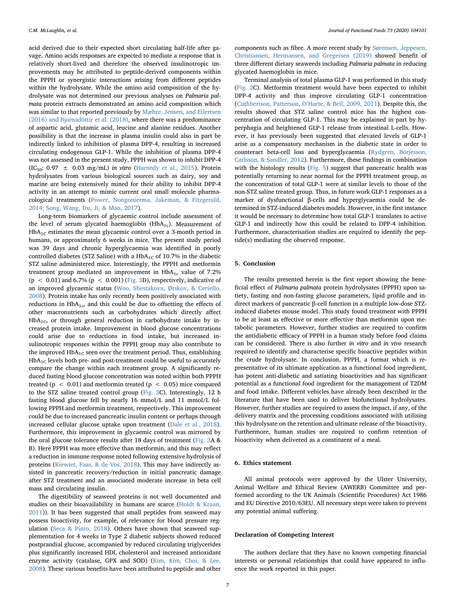acid derived due to their expected short circulating half-life after gavage. Amino acids responses are expected to mediate a response that is relatively short-lived and therefore the observed insulinotropic improvements may be attributed to peptide-derived components within the PPPH or synergistic interactions arising from different peptides within the hydrolysate. While the amino acid composition of the hydrolysate was not determined our previous analyses on Palmaria palmata protein extracts demonstrated an amino acid composition which was similar to that reported previously by [Mæhre, Jensen, and Eilertsen](#page-7-27) [\(2016\) and Bjarnadóttir et al. \(2018\),](#page-7-27) where there was a predominance of aspartic acid, glutamic acid, leucine and alanine residues. Another possibility is that the increase in plasma insulin could also in part be indirectly linked to inhibition of plasma DPP-4, resulting in increased circulating endogenous GLP-1. While the inhibition of plasma DPP-4 was not assessed in the present study, PPPH was shown to inhibit DPP-4  $(IC_{50}: 0.97 \pm 0.03 \text{ mg/mL})$  in vitro ([Harnedy et al., 2015](#page-7-6)). Protein hydrolysates from various biological sources such as dairy, soy and marine are being extensively mined for their ability to inhibit DPP-4 activity in an attempt to mimic current oral small molecule pharmacological treatments ([Power, Nongonierma, Jakeman, & Fitzgerald,](#page-7-28) [2014; Song, Wang, Du, Ji, & Mao, 2017](#page-7-28)).

Long-term biomarkers of glycaemic control include assessment of the level of serum glycated haemoglobin  $(HbA_{1c})$ . Measurement of  $HbA_{1C}$  estimates the mean glycaemic control over a 3-month period in humans, or approximately 6 weeks in mice. The present study period was 39 days and chronic hyperglycaemia was identified in poorly controlled diabetes (STZ Saline) with a  $HbA_{1C}$  of 10.7% in the diabetic STZ saline administered mice. Interestingly, the PPPH and metformin treatment group mediated an improvement in  $HbA_{1c}$  value of 7.2% (p < 0.01) and 6.7% (p < 0.001) [\(Fig. 3D](#page-4-1)), respectively, indicative of an improved glycaemic status [\(Woo, Shestakova, Ørskov, & Ceriello,](#page-7-29) [2008\)](#page-7-29). Protein intake has only recently been positively associated with reductions in  $HbA_{1c}$ , and this could be due to offsetting the effects of other macronutrients such as carbohydrates which directly affect  $HbA_{1C}$ , or through general reduction in carbohydrate intake by increased protein intake. Improvement in blood glucose concentrations could arise due to reductions in food intake, but increased insulinotropic responses within the PPPH group may also contribute to the improved  $HbA_{1C}$  seen over the treatment period. Thus, establishing  $HbA_{1C}$  levels both pre- and post-treatment could be useful to accurately compare the change within each treatment group. A significantly reduced fasting blood glucose concentration was noted within both PPPH treated ( $p < 0.01$ ) and metformin treated ( $p < 0.05$ ) mice compared to the STZ saline treated control group [\(Fig. 3](#page-4-1)C). Interestingly, 12 h fasting blood glucose fell by nearly 16 mmol/L and 11 mmol/L following PPPH and metformin treatment, respectively. This improvement could be due to increased pancreatic insulin content or perhaps through increased cellular glucose uptake upon treatment [\(Dale et al., 2018](#page-7-30)). Furthermore, this improvement in glycaemic control was mirrored by the oral glucose tolerance results after 18 days of treatment [\(Fig. 3](#page-4-1)A & B). Here PPPH was more effective than metformin, and this may reflect a reduction in immune response noted following extensive hydrolysis of proteins ([Kiewiet, Faas, & de Vos, 2018](#page-7-31)). This may have indirectly assisted in pancreatic recovery/reduction in initial pancreatic damage after STZ treatment and an associated moderate increase in beta cell mass and circulating insulin.

The digestibility of seaweed proteins is not well documented and studies on their bioavailability in humans are scarce ([Holdt & Kraan,](#page-7-32) [2011\)](#page-7-32)). It has been suggested that small peptides from seaweed may possess bioactivity, for example, of relevance for blood pressure regulation [\(Seca & Pinto, 2018](#page-7-33)). Others have shown that seaweed supplementation for 4 weeks in Type 2 diabetic subjects showed reduced postprandial glucose, accompanied by reduced circulating triglycerides plus significantly increased HDL cholesterol and increased antioxidant enzyme activity (catalase, GPX and SOD) ([Kim, Kim, Choi, & Lee,](#page-7-34) [2008\)](#page-7-34). These various benefits have been attributed to peptide and other

components such as fibre. A more recent study by [Sørensen, Jeppesen,](#page-7-35) [Christiansen, Hermansen, and Gregersen \(2019\)](#page-7-35) showed benefit of three different dietary seaweeds including Palmaria palmata in reducing glycated haemoglobin in mice.

Terminal analysis of total plasma GLP-1 was performed in this study ([Fig. 2C](#page-3-0)). Metformin treatment would have been expected to inhibit DPP-4 activity and thus improve circulating GLP-1 concentration ([Cuthbertson, Patterson, O](#page-7-36)'Harte, & Bell, 2009, 2011). Despite this, the results showed that STZ saline control mice has the highest concentration of circulating GLP-1. This may be explained in part by hyperphagia and heightened GLP-1 release from intestinal L-cells. However, it has previously been suggested that elevated levels of GLP-1 arise as a compensatory mechanism in the diabetic state in order to counteract beta-cell loss and hyperglycaemia ([Rydgren, Börjesson,](#page-7-37) [Carlsson, & Sandler, 2012](#page-7-37)). Furthermore, these findings in combination with the histology results [\(Fig. 5](#page-5-0)) suggest that pancreatic health was potentially returning to near normal for the PPPH treatment group, as the concentration of total GLP-1 were at similar levels to those of the non-STZ saline treated group. Thus, in future work GLP-1 responses as a marker of dysfunctional β-cells and hyperglycaemia could be determined in STZ-induced diabetes models. However, in the first instance it would be necessary to determine how total GLP-1 translates to active GLP-1 and indirectly how this could be related to DPP-4 inhibition. Furthermore, characterisation studies are required to identify the peptide(s) mediating the observed response.

## 5. Conclusion

The results presented herein is the first report showing the beneficial effect of Palmaria palmata protein hydrolysates (PPPH) upon satiety, fasting and non-fasting glucose parameters, lipid profile and indirect markers of pancreatic β-cell function in a multiple low-dose STZinduced diabetes mouse model. This study found treatment with PPPH to be at least as effective or more effective than metformin upon metabolic parameters. However, further studies are required to confirm the antidiabetic efficacy of PPPH in a human study before food claims can be considered. There is also further in vitro and in vivo research required to identify and characterise specific bioactive peptides within the crude hydrolysate. In conclusion, PPPH, a format which is representative of its ultimate application as a functional food ingredient, has potent anti-diabetic and satiating bioactivities and has significant potential as a functional food ingredient for the management of T2DM and food intake. Different vehicles have already been described in the literature that have been used to deliver biofunctional hydrolysates. However, further studies are required to assess the impact, if any, of the delivery matrix and the processing conditions associated with utilising this hydrolysate on the retention and ultimate release of the bioactivity. Furthermore, human studies are required to confirm retention of bioactivity when delivered as a constituent of a meal.

# 6. Ethics statement

All animal protocols were approved by the Ulster University, Animal Welfare and Ethical Review (AWERB) Committee and performed according to the UK Animals (Scientific Procedures) Act 1986 and EU Directive 2010/63EU. All necessary steps were taken to prevent any potential animal suffering.

## Declaration of Competing Interest

The authors declare that they have no known competing financial interests or personal relationships that could have appeared to influence the work reported in this paper.